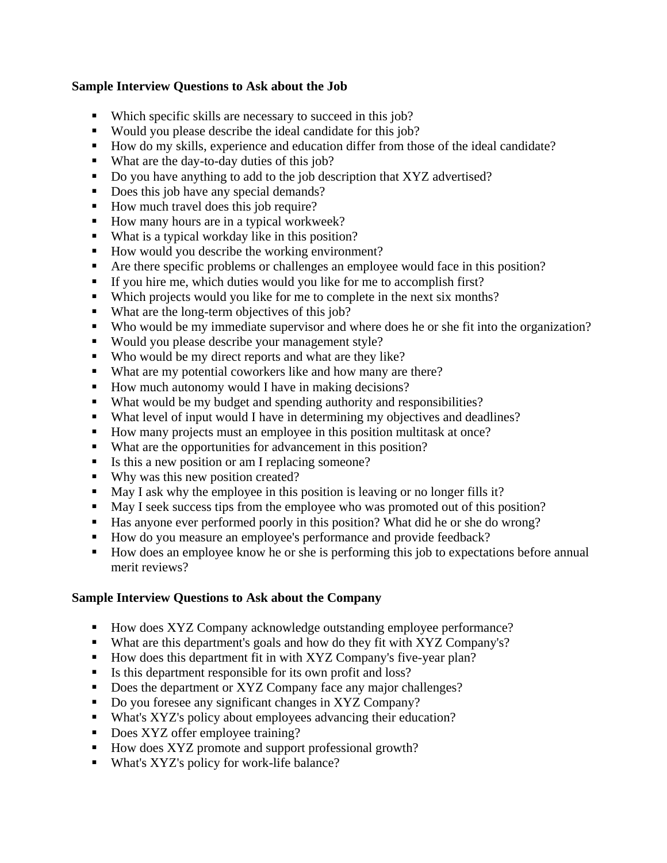## **Sample Interview Questions to Ask about the Job**

- Which specific skills are necessary to succeed in this job?
- Would you please describe the ideal candidate for this job?
- How do my skills, experience and education differ from those of the ideal candidate?
- What are the day-to-day duties of this job?
- Do you have anything to add to the job description that XYZ advertised?
- Does this job have any special demands?
- How much travel does this job require?
- How many hours are in a typical workweek?
- What is a typical workday like in this position?
- How would you describe the working environment?
- Are there specific problems or challenges an employee would face in this position?
- If you hire me, which duties would you like for me to accomplish first?
- Which projects would you like for me to complete in the next six months?
- What are the long-term objectives of this job?
- Who would be my immediate supervisor and where does he or she fit into the organization?
- Would you please describe your management style?
- Who would be my direct reports and what are they like?
- What are my potential coworkers like and how many are there?
- How much autonomy would I have in making decisions?
- What would be my budget and spending authority and responsibilities?
- What level of input would I have in determining my objectives and deadlines?
- How many projects must an employee in this position multitask at once?
- What are the opportunities for advancement in this position?
- Is this a new position or am I replacing someone?
- Why was this new position created?
- May I ask why the employee in this position is leaving or no longer fills it?
- May I seek success tips from the employee who was promoted out of this position?
- Has anyone ever performed poorly in this position? What did he or she do wrong?
- How do you measure an employee's performance and provide feedback?
- How does an employee know he or she is performing this job to expectations before annual merit reviews?

## **Sample Interview Questions to Ask about the Company**

- How does XYZ Company acknowledge outstanding employee performance?
- What are this department's goals and how do they fit with XYZ Company's?
- How does this department fit in with XYZ Company's five-year plan?
- Is this department responsible for its own profit and loss?
- Does the department or XYZ Company face any major challenges?
- Do you foresee any significant changes in XYZ Company?
- What's XYZ's policy about employees advancing their education?
- Does XYZ offer employee training?
- How does XYZ promote and support professional growth?
- What's XYZ's policy for work-life balance?